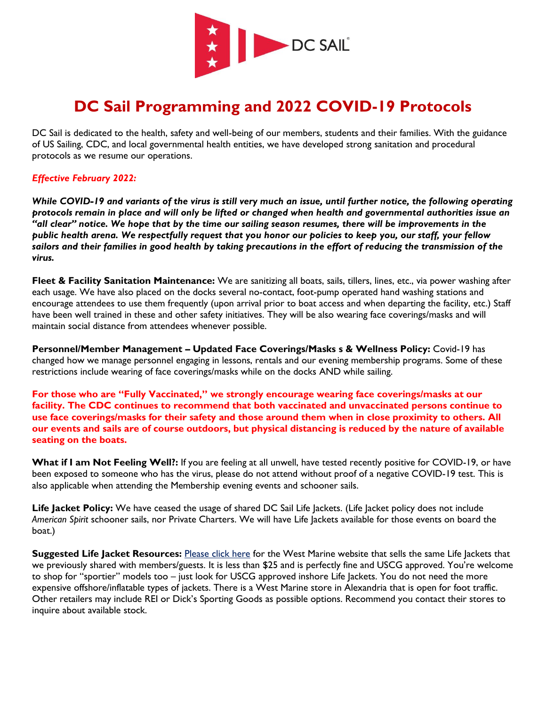

# **DC Sail Programming and 2022 COVID-19 Protocols**

DC Sail is dedicated to the health, safety and well-being of our members, students and their families. With the guidance of US Sailing, CDC, and local governmental health entities, we have developed strong sanitation and procedural protocols as we resume our operations.

#### *Effective February 2022:*

*While COVID-19 and variants of the virus is still very much an issue, until further notice, the following operating protocols remain in place and will only be lifted or changed when health and governmental authorities issue an "all clear" notice. We hope that by the time our sailing season resumes, there will be improvements in the public health arena. We respectfully request that you honor our policies to keep you, our staff, your fellow*  sailors and their families in good health by taking precautions in the effort of reducing the transmission of the *virus.* 

**Fleet & Facility Sanitation Maintenance:** We are sanitizing all boats, sails, tillers, lines, etc., via power washing after each usage. We have also placed on the docks several no-contact, foot-pump operated hand washing stations and encourage attendees to use them frequently (upon arrival prior to boat access and when departing the facility, etc.) Staff have been well trained in these and other safety initiatives. They will be also wearing face coverings/masks and will maintain social distance from attendees whenever possible.

**Personnel/Member Management – Updated Face Coverings/Masks s & Wellness Policy:** Covid-19 has changed how we manage personnel engaging in lessons, rentals and our evening membership programs. Some of these restrictions include wearing of face coverings/masks while on the docks AND while sailing.

**For those who are "Fully Vaccinated," we strongly encourage wearing face coverings/masks at our facility. The CDC continues to recommend that both vaccinated and unvaccinated persons continue to use face coverings/masks for their safety and those around them when in close proximity to others. All our events and sails are of course outdoors, but physical distancing is reduced by the nature of available seating on the boats.** 

**What if I am Not Feeling Well?:** If you are feeling at all unwell, have tested recently positive for COVID-19, or have been exposed to someone who has the virus, please do not attend without proof of a negative COVID-19 test. This is also applicable when attending the Membership evening events and schooner sails.

Life Jacket Policy: We have ceased the usage of shared DC Sail Life Jackets. (Life Jacket policy does not include *American Spirit* schooner sails, nor Private Charters. We will have Life Jackets available for those events on board the boat.)

**Suggested Life Jacket Resources:** [Please click here](https://www.westmarine.com/buy/west-marine--runabout-life-jacket-adult-30-52-chest--14897292?recordNum=5) for the West Marine website that sells the same Life Jackets that we previously shared with members/guests. It is less than \$25 and is perfectly fine and USCG approved. You're welcome to shop for "sportier" models too – just look for USCG approved inshore Life Jackets. You do not need the more expensive offshore/inflatable types of jackets. There is a West Marine store in Alexandria that is open for foot traffic. Other retailers may include REI or Dick's Sporting Goods as possible options. Recommend you contact their stores to inquire about available stock.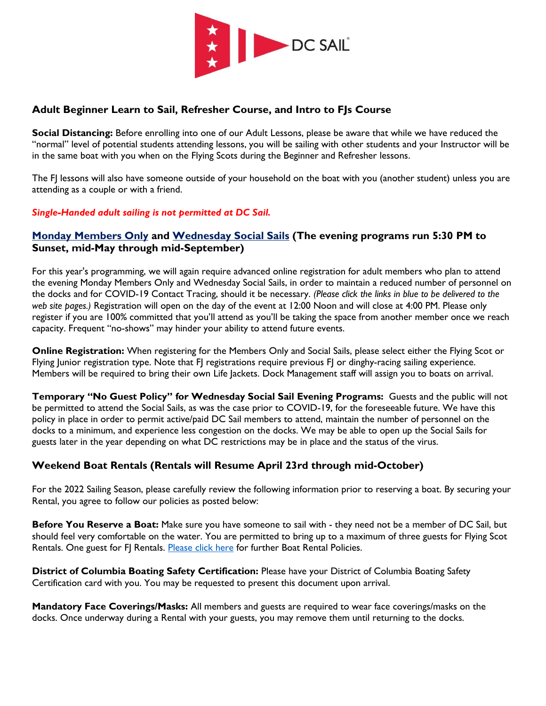

## **Adult Beginner Learn to Sail, Refresher Course, and Intro to FJs Course**

**Social Distancing:** Before enrolling into one of our Adult Lessons, please be aware that while we have reduced the "normal" level of potential students attending lessons, you will be sailing with other students and your Instructor will be in the same boat with you when on the Flying Scots during the Beginner and Refresher lessons.

The FJ lessons will also have someone outside of your household on the boat with you (another student) unless you are attending as a couple or with a friend.

#### *Single-Handed adult sailing is not permitted at DC Sail.*

## **[Monday Members Only](https://dcsail.org/membersails) and [Wednesday Social Sails](https://dcsail.org/socialsails) (The evening programs run 5:30 PM to Sunset, mid-May through mid-September)**

For this year's programming, we will again require advanced online registration for adult members who plan to attend the evening Monday Members Only and Wednesday Social Sails, in order to maintain a reduced number of personnel on the docks and for COVID-19 Contact Tracing, should it be necessary. *(Please click the links in blue to be delivered to the web site pages.)* Registration will open on the day of the event at 12:00 Noon and will close at 4:00 PM. Please only register if you are 100% committed that you'll attend as you'll be taking the space from another member once we reach capacity. Frequent "no-shows" may hinder your ability to attend future events.

**Online Registration:** When registering for the Members Only and Social Sails, please select either the Flying Scot or Flying Junior registration type. Note that FJ registrations require previous FJ or dinghy-racing sailing experience. Members will be required to bring their own Life Jackets. Dock Management staff will assign you to boats on arrival.

**Temporary "No Guest Policy" for Wednesday Social Sail Evening Programs:** Guests and the public will not be permitted to attend the Social Sails, as was the case prior to COVID-19, for the foreseeable future. We have this policy in place in order to permit active/paid DC Sail members to attend, maintain the number of personnel on the docks to a minimum, and experience less congestion on the docks. We may be able to open up the Social Sails for guests later in the year depending on what DC restrictions may be in place and the status of the virus.

# **Weekend Boat Rentals (Rentals will Resume April 23rd through mid-October)**

For the 2022 Sailing Season, please carefully review the following information prior to reserving a boat. By securing your Rental, you agree to follow our policies as posted below:

**Before You Reserve a Boat:** Make sure you have someone to sail with - they need not be a member of DC Sail, but should feel very comfortable on the water. You are permitted to bring up to a maximum of three guests for Flying Scot Rentals. One guest for FJ Rentals. [Please click here](https://dcsail.org/rentals-policies) for further Boat Rental Policies.

**District of Columbia Boating Safety Certification:** Please have your District of Columbia Boating Safety Certification card with you. You may be requested to present this document upon arrival.

**Mandatory Face Coverings/Masks:** All members and guests are required to wear face coverings/masks on the docks. Once underway during a Rental with your guests, you may remove them until returning to the docks.